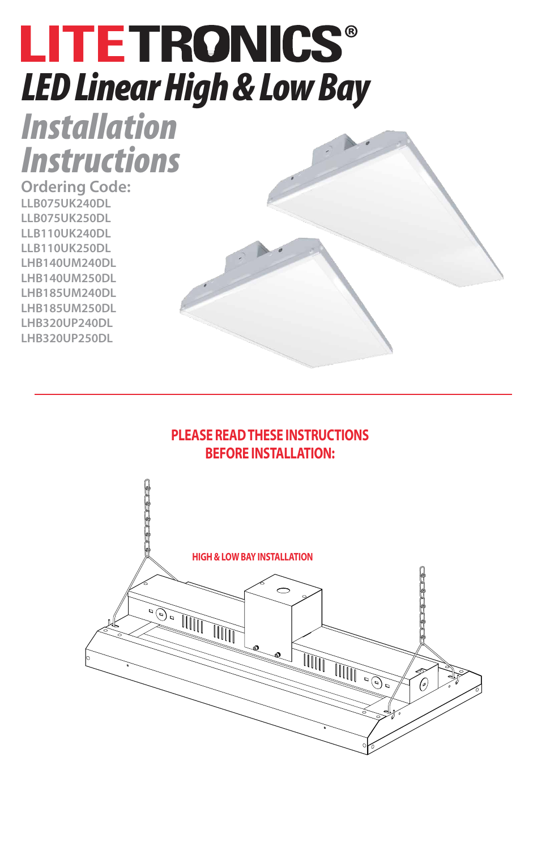# **LITETRONICS®** *LED Linear High & Low Bay*

*Installation Instructions*

**Ordering Code: LLB075UK240DL LLB075UK250DL LLB110UK240DL LLB110UK250DL LHB140UM240DL LHB140UM250DL LHB185UM240DL LHB185UM250DL LHB320UP240DL LHB320UP250DL**

#### **PLEASE READ THESE INSTRUCTIONS BEFORE INSTALLATION:**

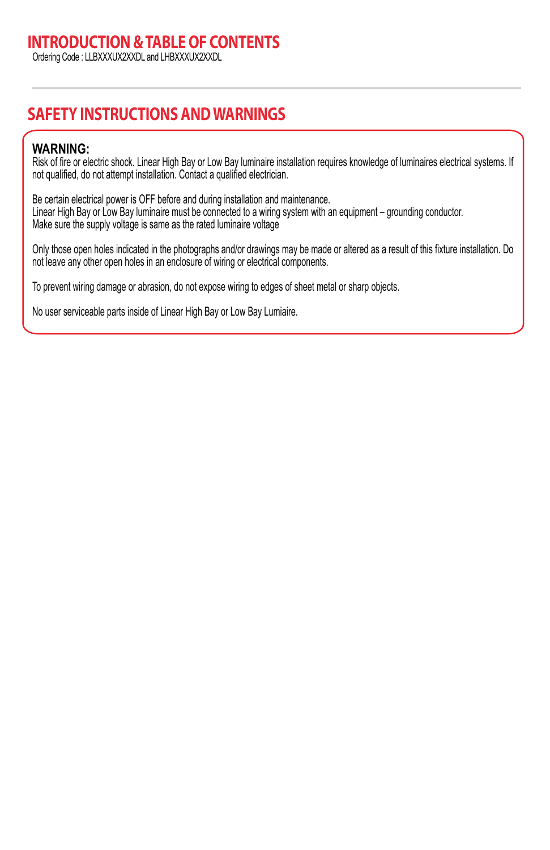#### **INTRODUCTION & TABLE OF CONTENTS**

Ordering Code : LLBXXXUX2XXDL and LHBXXXUX2XXDL

#### **SAFETY INSTRUCTIONS AND WARNINGS**

#### **WARNING:**

Risk of fire or electric shock. Linear High Bay or Low Bay luminaire installation requires knowledge of luminaires electrical systems. If not qualified, do not attempt installation. Contact a qualified electrician.

Be certain electrical power is OFF before and during installation and maintenance. Linear High Bay or Low Bay luminaire must be connected to a wiring system with an equipment – grounding conductor. Make sure the supply voltage is same as the rated luminaire voltage

Only those open holes indicated in the photographs and/or drawings may be made or altered as a result of this fixture installation. Do not leave any other open holes in an enclosure of wiring or electrical components.

To prevent wiring damage or abrasion, do not expose wiring to edges of sheet metal or sharp objects.

No user serviceable parts inside of Linear High Bay or Low Bay Lumiaire.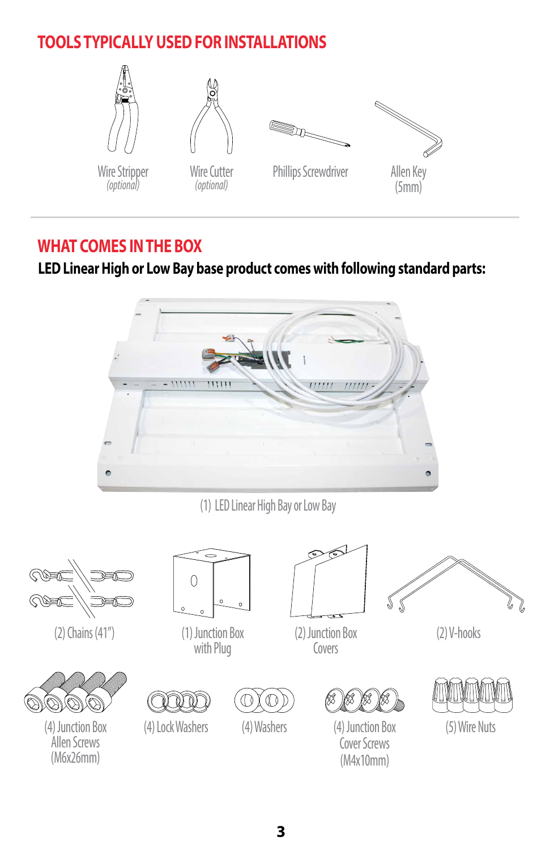## **TOOLS TYPICALLY USED FOR INSTALLATIONS**



#### **WHAT COMES IN THE BOX**

#### **LED Linear High or Low Bay base product comes with following standard parts:**



(1) LED Linear High Bay or Low Bay







(4) Junction Box (4) Lock Washers (4) Washers Allen Screws (M6x26mm)



with Plug





(2) Junction Box Covers



(4) Junction Box Cover Screws (M4x10mm)



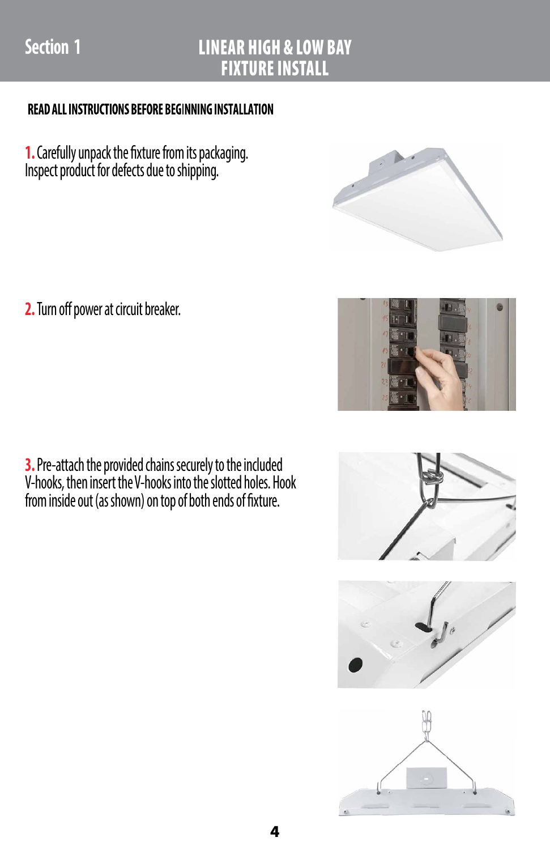# **Section 1**

#### LINEAR HIGH & LOW BAY FIXTURE INSTALL

#### READ ALL INSTRUCTIONS BEFORE BEGINNING INSTALLATION

**1.** Carefully unpack the fixture from its packaging. Inspect product for defects due to shipping.

**2.** Turn off power at circuit breaker.

**3.** Pre-attach the provided chains securely to the included V-hooks, then insert the V-hooks into the slotted holes. Hook from inside out (as shown) on top of both ends of fixture.







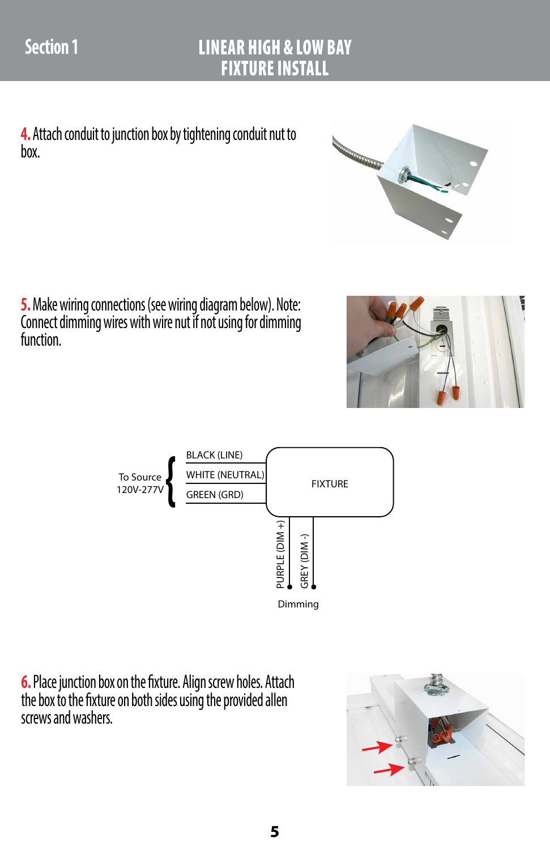**4.** Attach conduit to junction box by tightening conduit nut to box.

**5.** Make wiring connections (see wiring diagram below). Note: Connect dimming wires with wire nut if not using for dimming function.





**6.** Place junction box on the fixture. Align screw holes. Attach the box to the fixture on both sides using the provided allen screws and washers.



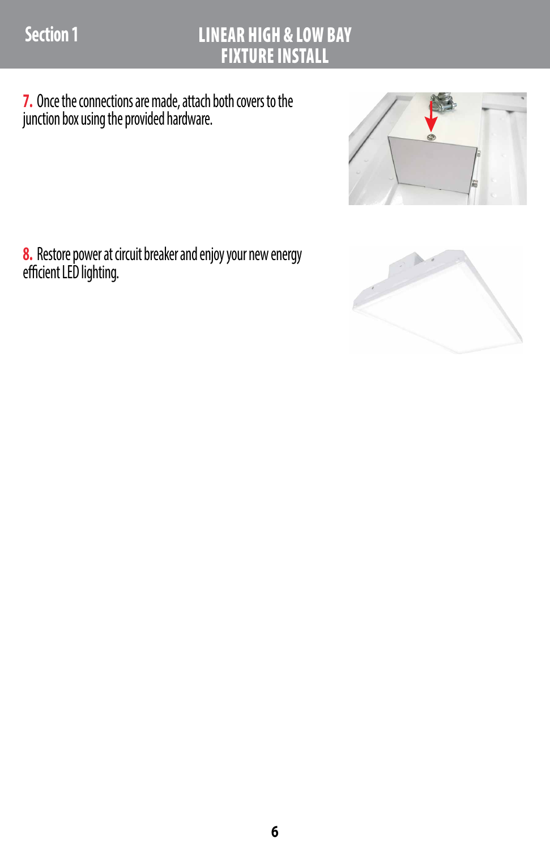## LINEAR HIGH & LOW BAY FIXTURE INSTALL

**7.** Once the connections are made, attach both covers to the junction box using the provided hardware.



**8.** Restore power at circuit breaker and enjoy your new energy efficient LED lighting.